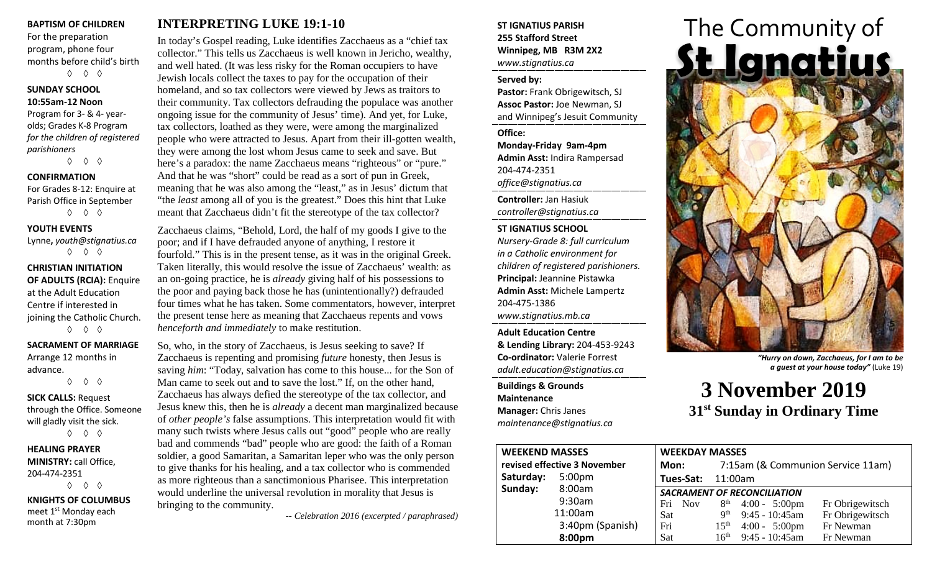#### **BAPTISM OF CHILDREN**

For the preparation program, phone four months before child's birth ◊ ◊ ◊

#### **SUNDAY SCHOOL 10:55am-12 Noon**

Program for 3- & 4- yearolds; Grades K-8 Program *for the children of registered parishioners*

◊ ◊ ◊

## **CONFIRMATION**

For Grades 8-12: Enquire at Parish Office in September ◊ ◊ ◊

#### **YOUTH EVENTS**

Lynne**,** *youth@stignatius.ca* ◊ ◊ ◊

## **CHRISTIAN INITIATION OF ADULTS (RCIA):** Enquire at the Adult Education Centre if interested in joining the Catholic Church. ◊ ◊ ◊

**SACRAMENT OF MARRIAGE** Arrange 12 months in advance. ◊ ◊ ◊

## **SICK CALLS:** Request through the Office. Someone will gladly visit the sick. ◊ ◊ ◊

**HEALING PRAYER MINISTRY:** call Office, 204-474-2351 ◊ ◊ ◊

**KNIGHTS OF COLUMBUS** meet 1<sup>st</sup> Monday each month at 7:30pm

## **INTERPRETING LUKE 19:1-10**

In today's Gospel reading, Luke identifies Zacchaeus as a "chief tax collector." This tells us Zacchaeus is well known in Jericho, wealthy, and well hated. (It was less risky for the Roman occupiers to have Jewish locals collect the taxes to pay for the occupation of their homeland, and so tax collectors were viewed by Jews as traitors to their community. Tax collectors defrauding the populace was another ongoing issue for the community of Jesus' time). And yet, for Luke, tax collectors, loathed as they were, were among the marginalized people who were attracted to Jesus. Apart from their ill-gotten wealth, they were among the lost whom Jesus came to seek and save. But here's a paradox: the name Zacchaeus means "righteous" or "pure." And that he was "short" could be read as a sort of pun in Greek, meaning that he was also among the "least," as in Jesus' dictum that "the *least* among all of you is the greatest." Does this hint that Luke meant that Zacchaeus didn't fit the stereotype of the tax collector?

Zacchaeus claims, "Behold, Lord, the half of my goods I give to the poor; and if I have defrauded anyone of anything, I restore it fourfold." This is in the present tense, as it was in the original Greek. Taken literally, this would resolve the issue of Zacchaeus' wealth: as an on-going practice, he is *already* giving half of his possessions to the poor and paying back those he has (unintentionally?) defrauded four times what he has taken. Some commentators, however, interpret the present tense here as meaning that Zacchaeus repents and vows *henceforth and immediately* to make restitution.

So, who, in the story of Zacchaeus, is Jesus seeking to save? If Zacchaeus is repenting and promising *future* honesty, then Jesus is saving *him*: "Today, salvation has come to this house... for the Son of Man came to seek out and to save the lost." If, on the other hand, Zacchaeus has always defied the stereotype of the tax collector, and Jesus knew this, then he is *already* a decent man marginalized because of *other people's* false assumptions. This interpretation would fit with many such twists where Jesus calls out "good" people who are really bad and commends "bad" people who are good: the faith of a Roman soldier, a good Samaritan, a Samaritan leper who was the only person to give thanks for his healing, and a tax collector who is commended as more righteous than a sanctimonious Pharisee. This interpretation would underline the universal revolution in morality that Jesus is bringing to the community.

*-- Celebration 2016 (excerpted / paraphrased)*

## **ST IGNATIUS PARISH 255 Stafford Street Winnipeg, MB R3M 2X2** *www.stignatius.ca*

#### **Served by:**

**Pastor:** Frank Obrigewitsch, SJ **Assoc Pastor:** Joe Newman, SJ and Winnipeg's Jesuit Community

#### **Office:**

**Monday-Friday 9am-4pm Admin Asst:** Indira Rampersad 204-474-2351 *office@stignatius.ca*

**Controller:** Jan Hasiuk *controller@stignatius.ca*

## **ST IGNATIUS SCHOOL**

*Nursery-Grade 8: full curriculum in a Catholic environment for children of registered parishioners.* **Principal:** Jeannine Pistawka **Admin Asst:** Michele Lampertz 204-475-1386 *www.stignatius.mb.ca*

**Adult Education Centre & Lending Library:** 204-453-9243 **Co-ordinator:** Valerie Forrest *adult.education@stignatius.ca*

**Buildings & Grounds Maintenance Manager:** Chris Janes *maintenance@stignatius.ca*



*"Hurry on down, Zacchaeus, for I am to be a guest at your house today"* (Luke 19)

**3 November 2019 31st Sunday in Ordinary Time**

| <b>WEEKEND MASSES</b>        |                    | <b>WEEKDAY MASSES</b>              |                                   |                          |                 |
|------------------------------|--------------------|------------------------------------|-----------------------------------|--------------------------|-----------------|
| revised effective 3 November |                    | Mon:                               | 7:15am (& Communion Service 11am) |                          |                 |
| Saturday:                    | 5:00 <sub>pm</sub> | Tues-Sat:                          | 11:00am                           |                          |                 |
| Sunday:                      | 8:00am             | <b>SACRAMENT OF RECONCILIATION</b> |                                   |                          |                 |
|                              | 9:30am             | Fri Nov                            |                                   | $8th$ 4:00 - 5:00pm      | Fr Obrigewitsch |
|                              | 11:00am            | <b>Sat</b>                         | $\mathbf{Q}^{\text{th}}$          | $9:45 - 10:45$ am        | Fr Obrigewitsch |
|                              | 3:40pm (Spanish)   | Fri                                | 15 <sup>th</sup>                  | $4:00 - 5:00 \text{pm}$  | Fr Newman       |
|                              | 8:00pm             | Sat                                |                                   | $16^{th}$ 9:45 - 10:45am | Fr Newman       |